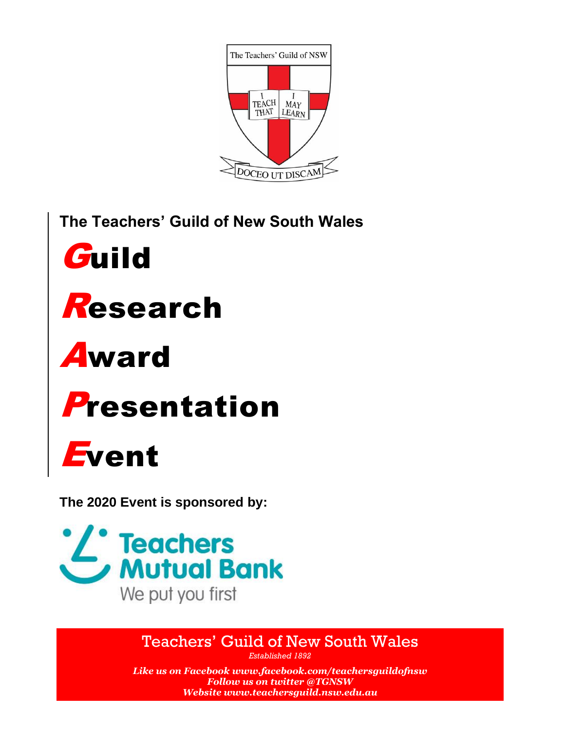

**The Teachers' Guild of New South Wales**



# Research

# Award



# Event

**The 2020 Event is sponsored by:**



# Teachers' Guild of New South Wales

*Established 1892*

*Like us on Facebook [www.facebook.com/teachersguildofnsw](http://www.facebook.com/teachersguildofnsw) Follow us on twitter @TGNSW Websit[e www.teachersguild.nsw.edu.au](http://www.teachersguild.nsw.edu.au/)*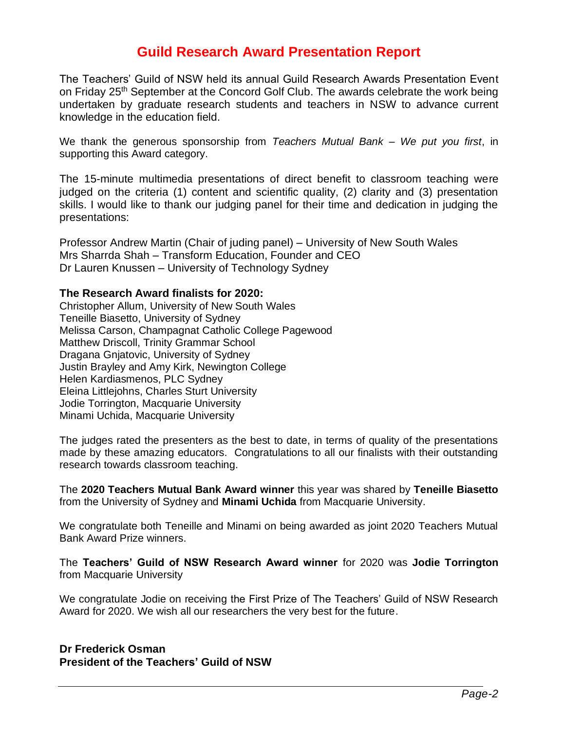## **Guild Research Award Presentation Report**

The Teachers' Guild of NSW held its annual Guild Research Awards Presentation Event on Friday 25<sup>th</sup> September at the Concord Golf Club. The awards celebrate the work being undertaken by graduate research students and teachers in NSW to advance current knowledge in the education field.

We thank the generous sponsorship from *Teachers Mutual Bank – We put you first*, in supporting this Award category.

The 15-minute multimedia presentations of direct benefit to classroom teaching were judged on the criteria (1) content and scientific quality, (2) clarity and (3) presentation skills. I would like to thank our judging panel for their time and dedication in judging the presentations:

Professor Andrew Martin (Chair of juding panel) – University of New South Wales Mrs Sharrda Shah – Transform Education, Founder and CEO Dr Lauren Knussen – University of Technology Sydney

#### **The Research Award finalists for 2020:**

Christopher Allum, University of New South Wales Teneille Biasetto, University of Sydney Melissa Carson, Champagnat Catholic College Pagewood Matthew Driscoll, Trinity Grammar School Dragana Gnjatovic, University of Sydney Justin Brayley and Amy Kirk, Newington College Helen Kardiasmenos, PLC Sydney Eleina Littlejohns, Charles Sturt University Jodie Torrington, Macquarie University Minami Uchida, Macquarie University

The judges rated the presenters as the best to date, in terms of quality of the presentations made by these amazing educators. Congratulations to all our finalists with their outstanding research towards classroom teaching.

The **2020 Teachers Mutual Bank Award winner** this year was shared by **Teneille Biasetto** from the University of Sydney and **Minami Uchida** from Macquarie University.

We congratulate both Teneille and Minami on being awarded as joint 2020 Teachers Mutual Bank Award Prize winners.

The **Teachers' Guild of NSW Research Award winner** for 2020 was **Jodie Torrington** from Macquarie University

We congratulate Jodie on receiving the First Prize of The Teachers' Guild of NSW Research Award for 2020. We wish all our researchers the very best for the future.

**Dr Frederick Osman President of the Teachers' Guild of NSW**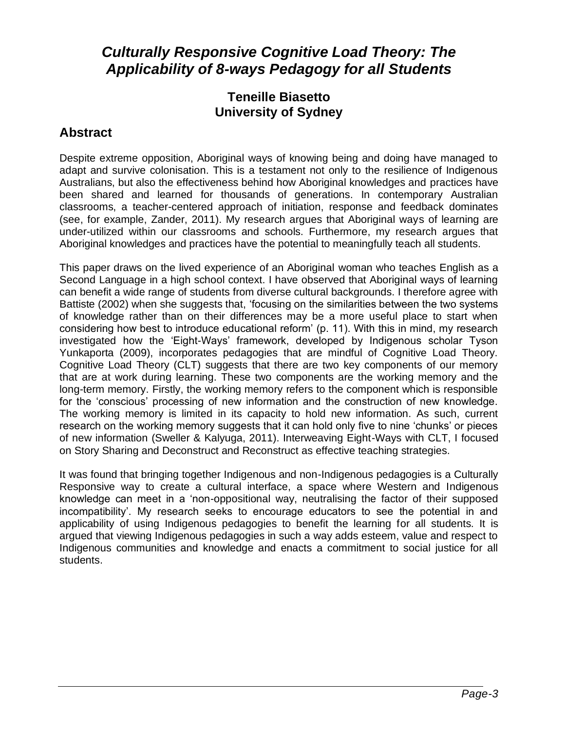# *Culturally Responsive Cognitive Load Theory: The Applicability of 8-ways Pedagogy for all Students*

#### **Teneille Biasetto University of Sydney**

## **Abstract**

Despite extreme opposition, Aboriginal ways of knowing being and doing have managed to adapt and survive colonisation. This is a testament not only to the resilience of Indigenous Australians, but also the effectiveness behind how Aboriginal knowledges and practices have been shared and learned for thousands of generations. In contemporary Australian classrooms, a teacher-centered approach of initiation, response and feedback dominates (see, for example, Zander, 2011). My research argues that Aboriginal ways of learning are under-utilized within our classrooms and schools. Furthermore, my research argues that Aboriginal knowledges and practices have the potential to meaningfully teach all students.

This paper draws on the lived experience of an Aboriginal woman who teaches English as a Second Language in a high school context. I have observed that Aboriginal ways of learning can benefit a wide range of students from diverse cultural backgrounds. I therefore agree with Battiste (2002) when she suggests that, 'focusing on the similarities between the two systems of knowledge rather than on their differences may be a more useful place to start when considering how best to introduce educational reform' (p. 11). With this in mind, my research investigated how the 'Eight-Ways' framework, developed by Indigenous scholar Tyson Yunkaporta (2009), incorporates pedagogies that are mindful of Cognitive Load Theory. Cognitive Load Theory (CLT) suggests that there are two key components of our memory that are at work during learning. These two components are the working memory and the long-term memory. Firstly, the working memory refers to the component which is responsible for the 'conscious' processing of new information and the construction of new knowledge. The working memory is limited in its capacity to hold new information. As such, current research on the working memory suggests that it can hold only five to nine 'chunks' or pieces of new information (Sweller & Kalyuga, 2011). Interweaving Eight-Ways with CLT, I focused on Story Sharing and Deconstruct and Reconstruct as effective teaching strategies.

It was found that bringing together Indigenous and non-Indigenous pedagogies is a Culturally Responsive way to create a cultural interface, a space where Western and Indigenous knowledge can meet in a 'non-oppositional way, neutralising the factor of their supposed incompatibility'. My research seeks to encourage educators to see the potential in and applicability of using Indigenous pedagogies to benefit the learning for all students. It is argued that viewing Indigenous pedagogies in such a way adds esteem, value and respect to Indigenous communities and knowledge and enacts a commitment to social justice for all students.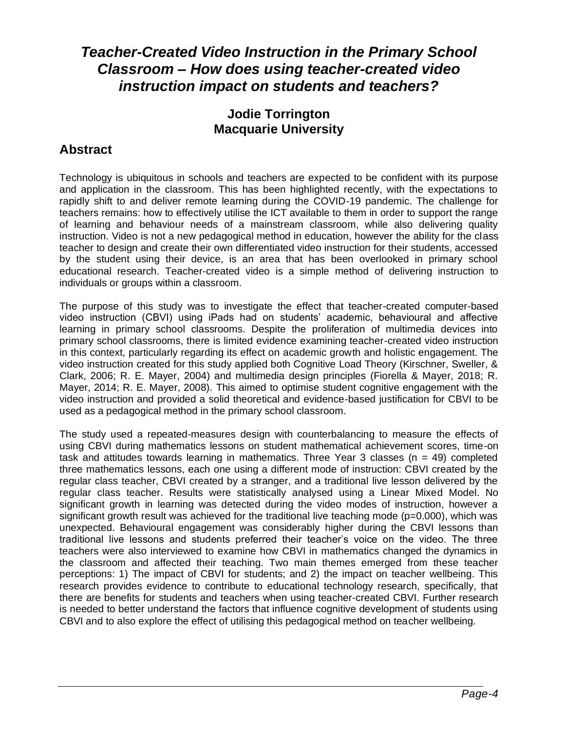# *Teacher-Created Video Instruction in the Primary School Classroom – How does using teacher-created video instruction impact on students and teachers?*

### **Jodie Torrington Macquarie University**

### **Abstract**

Technology is ubiquitous in schools and teachers are expected to be confident with its purpose and application in the classroom. This has been highlighted recently, with the expectations to rapidly shift to and deliver remote learning during the COVID-19 pandemic. The challenge for teachers remains: how to effectively utilise the ICT available to them in order to support the range of learning and behaviour needs of a mainstream classroom, while also delivering quality instruction. Video is not a new pedagogical method in education, however the ability for the class teacher to design and create their own differentiated video instruction for their students, accessed by the student using their device, is an area that has been overlooked in primary school educational research. Teacher-created video is a simple method of delivering instruction to individuals or groups within a classroom.

The purpose of this study was to investigate the effect that teacher-created computer-based video instruction (CBVI) using iPads had on students' academic, behavioural and affective learning in primary school classrooms. Despite the proliferation of multimedia devices into primary school classrooms, there is limited evidence examining teacher-created video instruction in this context, particularly regarding its effect on academic growth and holistic engagement. The video instruction created for this study applied both Cognitive Load Theory (Kirschner, Sweller, & Clark, 2006; R. E. Mayer, 2004) and multimedia design principles (Fiorella & Mayer, 2018; R. Mayer, 2014; R. E. Mayer, 2008). This aimed to optimise student cognitive engagement with the video instruction and provided a solid theoretical and evidence-based justification for CBVI to be used as a pedagogical method in the primary school classroom.

The study used a repeated-measures design with counterbalancing to measure the effects of using CBVI during mathematics lessons on student mathematical achievement scores, time-on task and attitudes towards learning in mathematics. Three Year 3 classes ( $n = 49$ ) completed three mathematics lessons, each one using a different mode of instruction: CBVI created by the regular class teacher, CBVI created by a stranger, and a traditional live lesson delivered by the regular class teacher. Results were statistically analysed using a Linear Mixed Model. No significant growth in learning was detected during the video modes of instruction, however a significant growth result was achieved for the traditional live teaching mode  $(p=0.000)$ , which was unexpected. Behavioural engagement was considerably higher during the CBVI lessons than traditional live lessons and students preferred their teacher's voice on the video. The three teachers were also interviewed to examine how CBVI in mathematics changed the dynamics in the classroom and affected their teaching. Two main themes emerged from these teacher perceptions: 1) The impact of CBVI for students; and 2) the impact on teacher wellbeing. This research provides evidence to contribute to educational technology research, specifically, that there are benefits for students and teachers when using teacher-created CBVI. Further research is needed to better understand the factors that influence cognitive development of students using CBVI and to also explore the effect of utilising this pedagogical method on teacher wellbeing.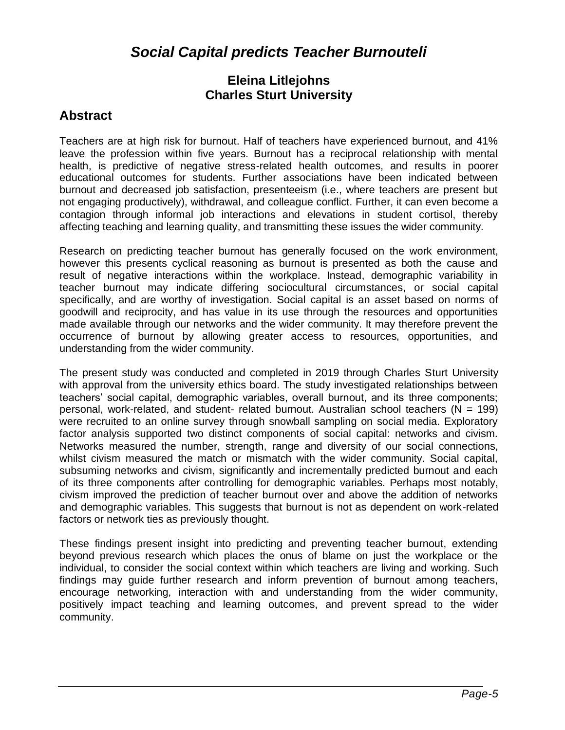# *Social Capital predicts Teacher Burnouteli*

#### **Eleina Litlejohns Charles Sturt University**

#### **Abstract**

Teachers are at high risk for burnout. Half of teachers have experienced burnout, and 41% leave the profession within five years. Burnout has a reciprocal relationship with mental health, is predictive of negative stress-related health outcomes, and results in poorer educational outcomes for students. Further associations have been indicated between burnout and decreased job satisfaction, presenteeism (i.e., where teachers are present but not engaging productively), withdrawal, and colleague conflict. Further, it can even become a contagion through informal job interactions and elevations in student cortisol, thereby affecting teaching and learning quality, and transmitting these issues the wider community.

Research on predicting teacher burnout has generally focused on the work environment, however this presents cyclical reasoning as burnout is presented as both the cause and result of negative interactions within the workplace. Instead, demographic variability in teacher burnout may indicate differing sociocultural circumstances, or social capital specifically, and are worthy of investigation. Social capital is an asset based on norms of goodwill and reciprocity, and has value in its use through the resources and opportunities made available through our networks and the wider community. It may therefore prevent the occurrence of burnout by allowing greater access to resources, opportunities, and understanding from the wider community.

The present study was conducted and completed in 2019 through Charles Sturt University with approval from the university ethics board. The study investigated relationships between teachers' social capital, demographic variables, overall burnout, and its three components; personal, work-related, and student- related burnout. Australian school teachers (N = 199) were recruited to an online survey through snowball sampling on social media. Exploratory factor analysis supported two distinct components of social capital: networks and civism. Networks measured the number, strength, range and diversity of our social connections, whilst civism measured the match or mismatch with the wider community. Social capital, subsuming networks and civism, significantly and incrementally predicted burnout and each of its three components after controlling for demographic variables. Perhaps most notably, civism improved the prediction of teacher burnout over and above the addition of networks and demographic variables. This suggests that burnout is not as dependent on work-related factors or network ties as previously thought.

These findings present insight into predicting and preventing teacher burnout, extending beyond previous research which places the onus of blame on just the workplace or the individual, to consider the social context within which teachers are living and working. Such findings may guide further research and inform prevention of burnout among teachers, encourage networking, interaction with and understanding from the wider community, positively impact teaching and learning outcomes, and prevent spread to the wider community.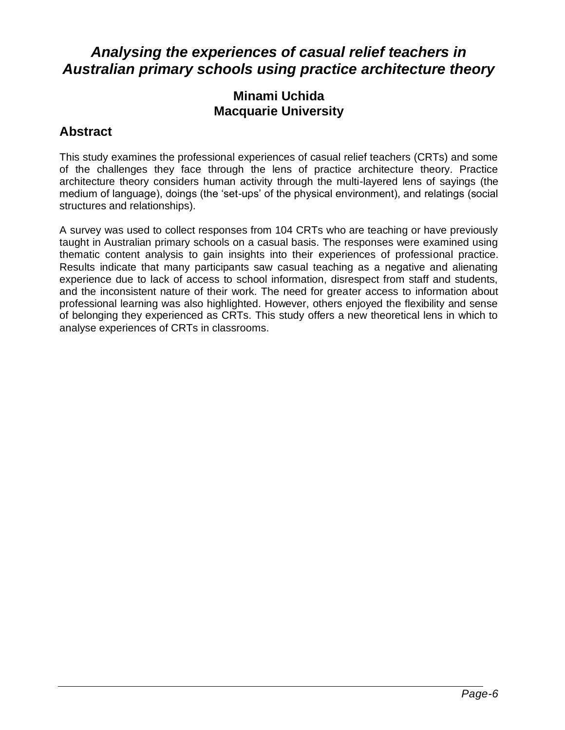# *Analysing the experiences of casual relief teachers in Australian primary schools using practice architecture theory*

#### **Minami Uchida Macquarie University**

#### **Abstract**

This study examines the professional experiences of casual relief teachers (CRTs) and some of the challenges they face through the lens of practice architecture theory. Practice architecture theory considers human activity through the multi-layered lens of sayings (the medium of language), doings (the 'set-ups' of the physical environment), and relatings (social structures and relationships).

A survey was used to collect responses from 104 CRTs who are teaching or have previously taught in Australian primary schools on a casual basis. The responses were examined using thematic content analysis to gain insights into their experiences of professional practice. Results indicate that many participants saw casual teaching as a negative and alienating experience due to lack of access to school information, disrespect from staff and students, and the inconsistent nature of their work. The need for greater access to information about professional learning was also highlighted. However, others enjoyed the flexibility and sense of belonging they experienced as CRTs. This study offers a new theoretical lens in which to analyse experiences of CRTs in classrooms.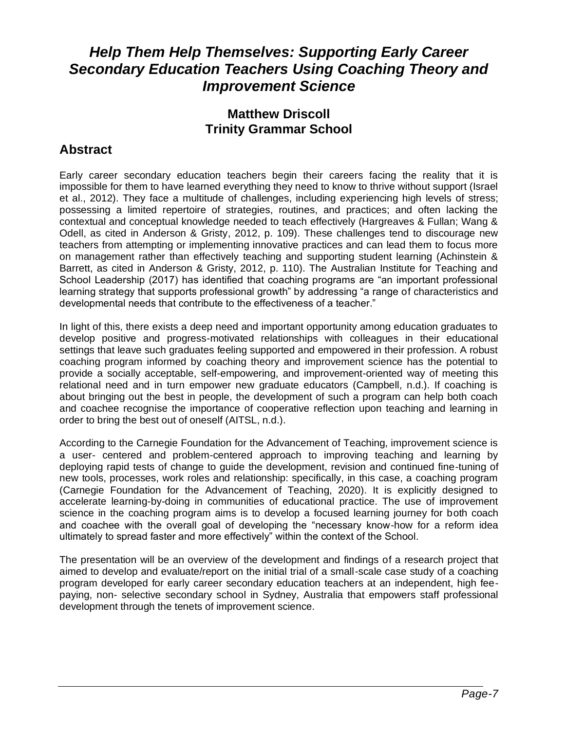# *Help Them Help Themselves: Supporting Early Career Secondary Education Teachers Using Coaching Theory and Improvement Science*

### **Matthew Driscoll Trinity Grammar School**

## **Abstract**

Early career secondary education teachers begin their careers facing the reality that it is impossible for them to have learned everything they need to know to thrive without support (Israel et al., 2012). They face a multitude of challenges, including experiencing high levels of stress; possessing a limited repertoire of strategies, routines, and practices; and often lacking the contextual and conceptual knowledge needed to teach effectively (Hargreaves & Fullan; Wang & Odell, as cited in Anderson & Gristy, 2012, p. 109). These challenges tend to discourage new teachers from attempting or implementing innovative practices and can lead them to focus more on management rather than effectively teaching and supporting student learning (Achinstein & Barrett, as cited in Anderson & Gristy, 2012, p. 110). The Australian Institute for Teaching and School Leadership (2017) has identified that coaching programs are "an important professional learning strategy that supports professional growth" by addressing "a range of characteristics and developmental needs that contribute to the effectiveness of a teacher."

In light of this, there exists a deep need and important opportunity among education graduates to develop positive and progress-motivated relationships with colleagues in their educational settings that leave such graduates feeling supported and empowered in their profession. A robust coaching program informed by coaching theory and improvement science has the potential to provide a socially acceptable, self-empowering, and improvement-oriented way of meeting this relational need and in turn empower new graduate educators (Campbell, n.d.). If coaching is about bringing out the best in people, the development of such a program can help both coach and coachee recognise the importance of cooperative reflection upon teaching and learning in order to bring the best out of oneself (AITSL, n.d.).

According to the Carnegie Foundation for the Advancement of Teaching, improvement science is a user- centered and problem-centered approach to improving teaching and learning by deploying rapid tests of change to guide the development, revision and continued fine-tuning of new tools, processes, work roles and relationship: specifically, in this case, a coaching program (Carnegie Foundation for the Advancement of Teaching, 2020). It is explicitly designed to accelerate learning-by-doing in communities of educational practice. The use of improvement science in the coaching program aims is to develop a focused learning journey for both coach and coachee with the overall goal of developing the "necessary know-how for a reform idea ultimately to spread faster and more effectively" within the context of the School.

The presentation will be an overview of the development and findings of a research project that aimed to develop and evaluate/report on the initial trial of a small-scale case study of a coaching program developed for early career secondary education teachers at an independent, high feepaying, non- selective secondary school in Sydney, Australia that empowers staff professional development through the tenets of improvement science.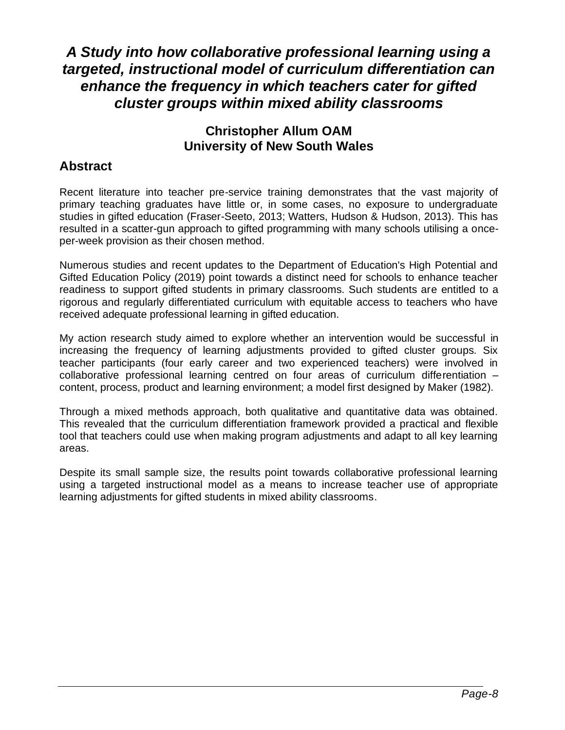# *A Study into how collaborative professional learning using a targeted, instructional model of curriculum differentiation can enhance the frequency in which teachers cater for gifted cluster groups within mixed ability classrooms*

#### **Christopher Allum OAM University of New South Wales**

### **Abstract**

Recent literature into teacher pre-service training demonstrates that the vast majority of primary teaching graduates have little or, in some cases, no exposure to undergraduate studies in gifted education (Fraser-Seeto, 2013; Watters, Hudson & Hudson, 2013). This has resulted in a scatter-gun approach to gifted programming with many schools utilising a onceper-week provision as their chosen method.

Numerous studies and recent updates to the Department of Education's High Potential and Gifted Education Policy (2019) point towards a distinct need for schools to enhance teacher readiness to support gifted students in primary classrooms. Such students are entitled to a rigorous and regularly differentiated curriculum with equitable access to teachers who have received adequate professional learning in gifted education.

My action research study aimed to explore whether an intervention would be successful in increasing the frequency of learning adjustments provided to gifted cluster groups. Six teacher participants (four early career and two experienced teachers) were involved in collaborative professional learning centred on four areas of curriculum differentiation – content, process, product and learning environment; a model first designed by Maker (1982).

Through a mixed methods approach, both qualitative and quantitative data was obtained. This revealed that the curriculum differentiation framework provided a practical and flexible tool that teachers could use when making program adjustments and adapt to all key learning areas.

Despite its small sample size, the results point towards collaborative professional learning using a targeted instructional model as a means to increase teacher use of appropriate learning adjustments for gifted students in mixed ability classrooms.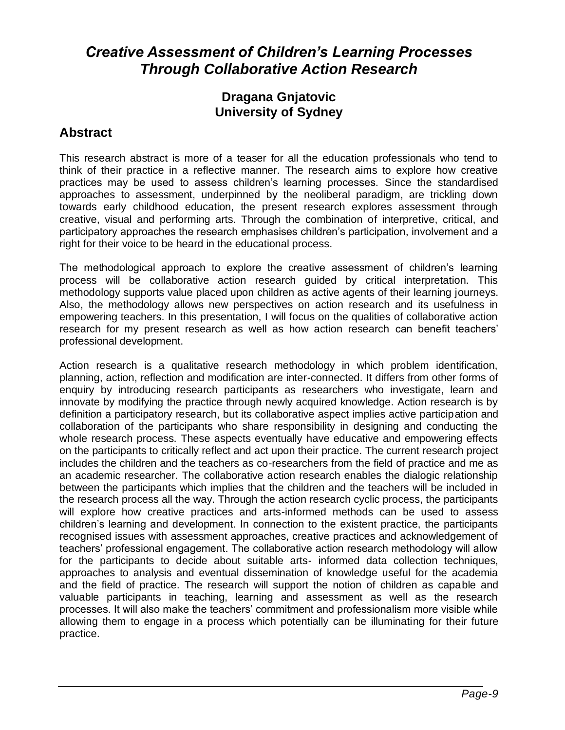# *Creative Assessment of Children's Learning Processes Through Collaborative Action Research*

#### **Dragana Gnjatovic University of Sydney**

### **Abstract**

This research abstract is more of a teaser for all the education professionals who tend to think of their practice in a reflective manner. The research aims to explore how creative practices may be used to assess children's learning processes. Since the standardised approaches to assessment, underpinned by the neoliberal paradigm, are trickling down towards early childhood education, the present research explores assessment through creative, visual and performing arts. Through the combination of interpretive, critical, and participatory approaches the research emphasises children's participation, involvement and a right for their voice to be heard in the educational process.

The methodological approach to explore the creative assessment of children's learning process will be collaborative action research guided by critical interpretation. This methodology supports value placed upon children as active agents of their learning journeys. Also, the methodology allows new perspectives on action research and its usefulness in empowering teachers. In this presentation, I will focus on the qualities of collaborative action research for my present research as well as how action research can benefit teachers' professional development.

Action research is a qualitative research methodology in which problem identification, planning, action, reflection and modification are inter-connected. It differs from other forms of enquiry by introducing research participants as researchers who investigate, learn and innovate by modifying the practice through newly acquired knowledge. Action research is by definition a participatory research, but its collaborative aspect implies active participation and collaboration of the participants who share responsibility in designing and conducting the whole research process. These aspects eventually have educative and empowering effects on the participants to critically reflect and act upon their practice. The current research project includes the children and the teachers as co-researchers from the field of practice and me as an academic researcher. The collaborative action research enables the dialogic relationship between the participants which implies that the children and the teachers will be included in the research process all the way. Through the action research cyclic process, the participants will explore how creative practices and arts-informed methods can be used to assess children's learning and development. In connection to the existent practice, the participants recognised issues with assessment approaches, creative practices and acknowledgement of teachers' professional engagement. The collaborative action research methodology will allow for the participants to decide about suitable arts- informed data collection techniques, approaches to analysis and eventual dissemination of knowledge useful for the academia and the field of practice. The research will support the notion of children as capable and valuable participants in teaching, learning and assessment as well as the research processes. It will also make the teachers' commitment and professionalism more visible while allowing them to engage in a process which potentially can be illuminating for their future practice.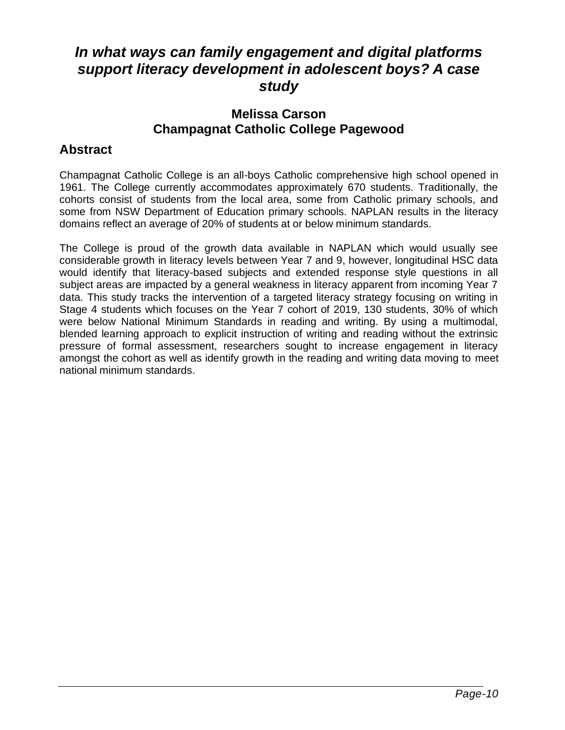# *In what ways can family engagement and digital platforms support literacy development in adolescent boys? A case study*

#### **Melissa Carson Champagnat Catholic College Pagewood**

### **Abstract**

Champagnat Catholic College is an all-boys Catholic comprehensive high school opened in 1961. The College currently accommodates approximately 670 students. Traditionally, the cohorts consist of students from the local area, some from Catholic primary schools, and some from NSW Department of Education primary schools. NAPLAN results in the literacy domains reflect an average of 20% of students at or below minimum standards.

The College is proud of the growth data available in NAPLAN which would usually see considerable growth in literacy levels between Year 7 and 9, however, longitudinal HSC data would identify that literacy-based subjects and extended response style questions in all subject areas are impacted by a general weakness in literacy apparent from incoming Year 7 data. This study tracks the intervention of a targeted literacy strategy focusing on writing in Stage 4 students which focuses on the Year 7 cohort of 2019, 130 students, 30% of which were below National Minimum Standards in reading and writing. By using a multimodal, blended learning approach to explicit instruction of writing and reading without the extrinsic pressure of formal assessment, researchers sought to increase engagement in literacy amongst the cohort as well as identify growth in the reading and writing data moving to meet national minimum standards.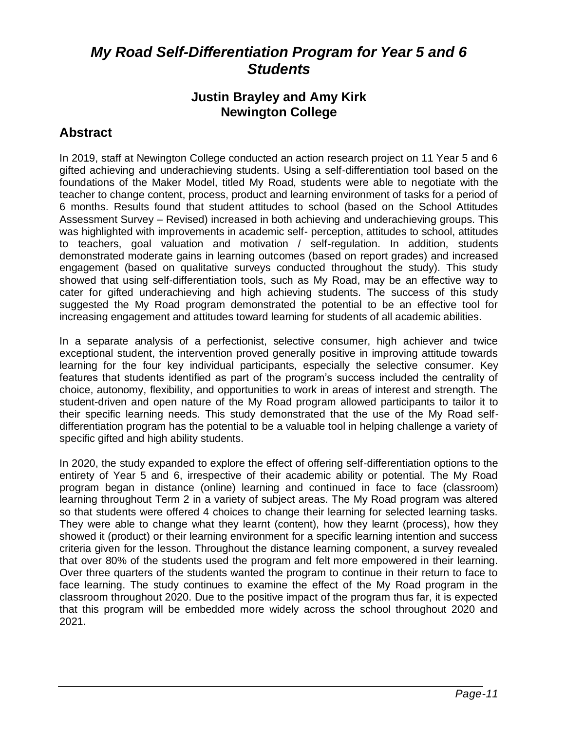# *My Road Self-Differentiation Program for Year 5 and 6 Students*

#### **Justin Brayley and Amy Kirk Newington College**

### **Abstract**

In 2019, staff at Newington College conducted an action research project on 11 Year 5 and 6 gifted achieving and underachieving students. Using a self-differentiation tool based on the foundations of the Maker Model, titled My Road, students were able to negotiate with the teacher to change content, process, product and learning environment of tasks for a period of 6 months. Results found that student attitudes to school (based on the School Attitudes Assessment Survey – Revised) increased in both achieving and underachieving groups. This was highlighted with improvements in academic self- perception, attitudes to school, attitudes to teachers, goal valuation and motivation / self-regulation. In addition, students demonstrated moderate gains in learning outcomes (based on report grades) and increased engagement (based on qualitative surveys conducted throughout the study). This study showed that using self-differentiation tools, such as My Road, may be an effective way to cater for gifted underachieving and high achieving students. The success of this study suggested the My Road program demonstrated the potential to be an effective tool for increasing engagement and attitudes toward learning for students of all academic abilities.

In a separate analysis of a perfectionist, selective consumer, high achiever and twice exceptional student, the intervention proved generally positive in improving attitude towards learning for the four key individual participants, especially the selective consumer. Key features that students identified as part of the program's success included the centrality of choice, autonomy, flexibility, and opportunities to work in areas of interest and strength. The student-driven and open nature of the My Road program allowed participants to tailor it to their specific learning needs. This study demonstrated that the use of the My Road selfdifferentiation program has the potential to be a valuable tool in helping challenge a variety of specific gifted and high ability students.

In 2020, the study expanded to explore the effect of offering self-differentiation options to the entirety of Year 5 and 6, irrespective of their academic ability or potential. The My Road program began in distance (online) learning and continued in face to face (classroom) learning throughout Term 2 in a variety of subject areas. The My Road program was altered so that students were offered 4 choices to change their learning for selected learning tasks. They were able to change what they learnt (content), how they learnt (process), how they showed it (product) or their learning environment for a specific learning intention and success criteria given for the lesson. Throughout the distance learning component, a survey revealed that over 80% of the students used the program and felt more empowered in their learning. Over three quarters of the students wanted the program to continue in their return to face to face learning. The study continues to examine the effect of the My Road program in the classroom throughout 2020. Due to the positive impact of the program thus far, it is expected that this program will be embedded more widely across the school throughout 2020 and 2021.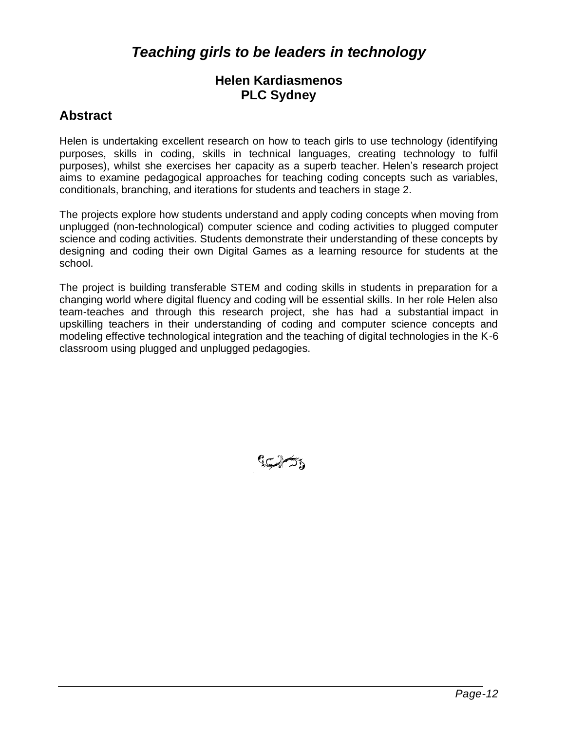# *Teaching girls to be leaders in technology*

#### **Helen Kardiasmenos PLC Sydney**

### **Abstract**

Helen is undertaking excellent research on how to teach girls to use technology (identifying purposes, skills in coding, skills in technical languages, creating technology to fulfil purposes), whilst she exercises her capacity as a superb teacher. Helen's research project aims to examine pedagogical approaches for teaching coding concepts such as variables, conditionals, branching, and iterations for students and teachers in stage 2.

The projects explore how students understand and apply coding concepts when moving from unplugged (non-technological) computer science and coding activities to plugged computer science and coding activities. Students demonstrate their understanding of these concepts by designing and coding their own Digital Games as a learning resource for students at the school.

The project is building transferable STEM and coding skills in students in preparation for a changing world where digital fluency and coding will be essential skills. In her role Helen also team-teaches and through this research project, she has had a substantial impact in upskilling teachers in their understanding of coding and computer science concepts and modeling effective technological integration and the teaching of digital technologies in the K-6 classroom using plugged and unplugged pedagogies.

رحمات